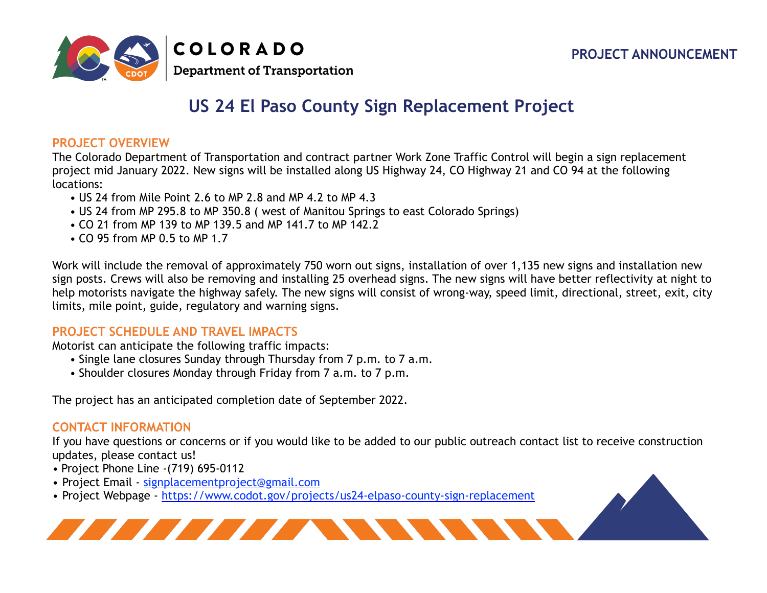

## **US 24 El Paso County Sign Replacement Project**

## **PROJECT OVERVIEW**

The Colorado Department of Transportation and contract partner Work Zone Traffic Control will begin a sign replacement project mid January 2022. New signs will be installed along US Highway 24, CO Highway 21 and CO 94 at the following locations:

- US 24 from Mile Point 2.6 to MP 2.8 and MP 4.2 to MP 4.3
- US 24 from MP 295.8 to MP 350.8 ( west of Manitou Springs to east Colorado Springs)
- CO 21 from MP 139 to MP 139.5 and MP 141.7 to MP 142.2
- CO 95 from MP 0.5 to MP 1.7

Work will include the removal of approximately 750 worn out signs, installation of over 1,135 new signs and installation new sign posts. Crews will also be removing and installing 25 overhead signs. The new signs will have better reflectivity at night to help motorists navigate the highway safely. The new signs will consist of wrong-way, speed limit, directional, street, exit, city limits, mile point, guide, regulatory and warning signs.

## **PROJECT SCHEDULE AND TRAVEL IMPACTS**

Motorist can anticipate the following traffic impacts:

- Single lane closures Sunday through Thursday from 7 p.m. to 7 a.m.
- Shoulder closures Monday through Friday from 7 a.m. to 7 p.m.

The project has an anticipated completion date of September 2022.

## **CONTACT INFORMATION**

If you have questions or concerns or if you would like to be added to our public outreach contact list to receive construction updates, please contact us!

- Project Phone Line -(719) 695-0112
- Project Email [signplacementproject@gmail.com](mailto:signplacementproject@gmail.com)
- Project Webpage <https://www.codot.gov/projects/us24-elpaso-county-sign-replacement>